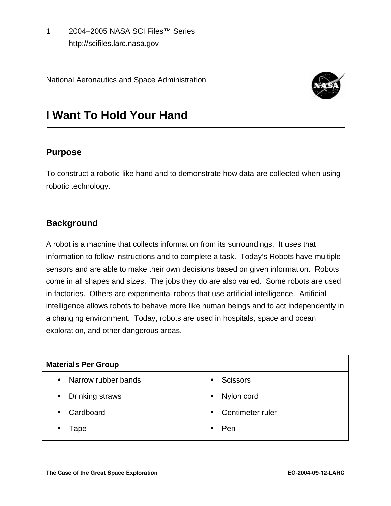1 2004–2005 NASA SCI Files™ Series http://scifiles.larc.nasa.gov

National Aeronautics and Space Administration



# **I Want To Hold Your Hand**

## **Purpose**

To construct a robotic-like hand and to demonstrate how data are collected when using robotic technology.

## **Background**

A robot is a machine that collects information from its surroundings. It uses that information to follow instructions and to complete a task. Today's Robots have multiple sensors and are able to make their own decisions based on given information. Robots come in all shapes and sizes. The jobs they do are also varied. Some robots are used in factories. Others are experimental robots that use artificial intelligence. Artificial intelligence allows robots to behave more like human beings and to act independently in a changing environment. Today, robots are used in hospitals, space and ocean exploration, and other dangerous areas.

| <b>Materials Per Group</b> |                    |
|----------------------------|--------------------|
| Narrow rubber bands        | <b>Scissors</b>    |
| $\bullet$                  | $\bullet$          |
| Drinking straws            | Nylon cord         |
| $\bullet$                  | $\bullet$          |
| Cardboard<br>$\bullet$     | • Centimeter ruler |
| Tape                       | Pen                |
| ٠                          | ٠                  |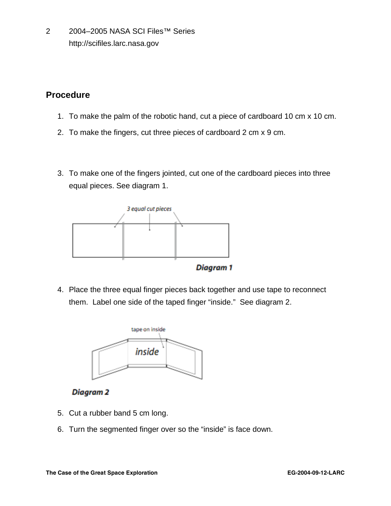2 2004–2005 NASA SCI Files™ Series http://scifiles.larc.nasa.gov

## **Procedure**

- 1. To make the palm of the robotic hand, cut a piece of cardboard 10 cm x 10 cm.
- 2. To make the fingers, cut three pieces of cardboard 2 cm x 9 cm.
- 3. To make one of the fingers jointed, cut one of the cardboard pieces into three equal pieces. See diagram 1.



4. Place the three equal finger pieces back together and use tape to reconnect them. Label one side of the taped finger "inside." See diagram 2.



**Diagram 2** 

- 5. Cut a rubber band 5 cm long.
- 6. Turn the segmented finger over so the "inside" is face down.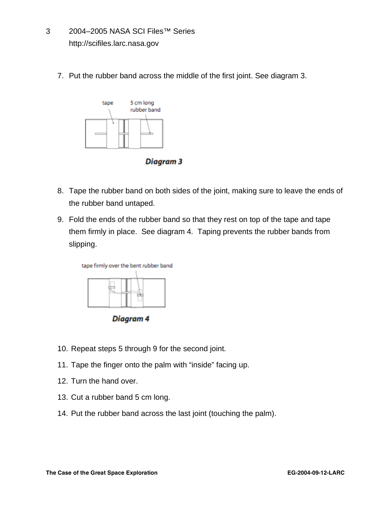- 3 2004–2005 NASA SCI Files™ Series http://scifiles.larc.nasa.gov
	- 7. Put the rubber band across the middle of the first joint. See diagram 3.



Diagram 3

- 8. Tape the rubber band on both sides of the joint, making sure to leave the ends of the rubber band untaped.
- 9. Fold the ends of the rubber band so that they rest on top of the tape and tape them firmly in place. See diagram 4. Taping prevents the rubber bands from slipping.



Diagram 4

- 10. Repeat steps 5 through 9 for the second joint.
- 11. Tape the finger onto the palm with "inside" facing up.
- 12. Turn the hand over.
- 13. Cut a rubber band 5 cm long.
- 14. Put the rubber band across the last joint (touching the palm).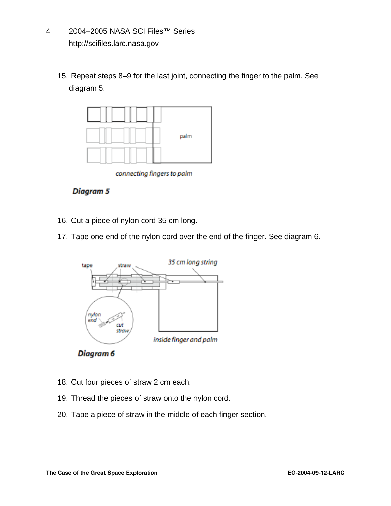- 4 2004–2005 NASA SCI Files™ Series http://scifiles.larc.nasa.gov
	- 15. Repeat steps 8–9 for the last joint, connecting the finger to the palm. See diagram 5.



connecting fingers to palm

#### **Diagram 5**

- 16. Cut a piece of nylon cord 35 cm long.
- 17. Tape one end of the nylon cord over the end of the finger. See diagram 6.



Diagram<sub>6</sub>

- 18. Cut four pieces of straw 2 cm each.
- 19. Thread the pieces of straw onto the nylon cord.
- 20. Tape a piece of straw in the middle of each finger section.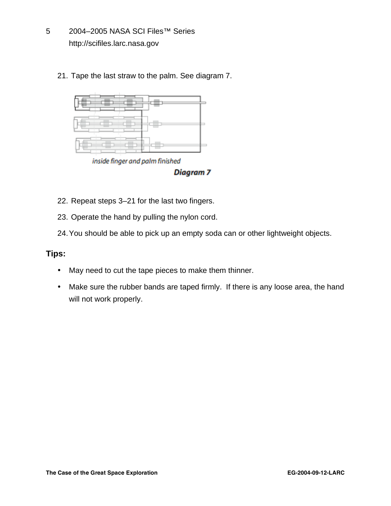- 5 2004–2005 NASA SCI Files™ Series http://scifiles.larc.nasa.gov
	- 21. Tape the last straw to the palm. See diagram 7.



inside finger and palm finished

Diagram<sub>7</sub>

- 22. Repeat steps 3–21 for the last two fingers.
- 23. Operate the hand by pulling the nylon cord.
- 24.You should be able to pick up an empty soda can or other lightweight objects.

#### **Tips:**

- May need to cut the tape pieces to make them thinner.
- Make sure the rubber bands are taped firmly. If there is any loose area, the hand will not work properly.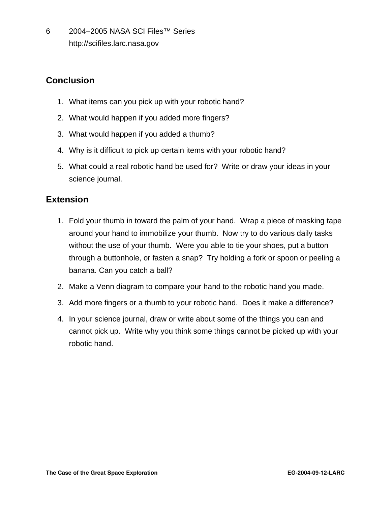6 2004–2005 NASA SCI Files™ Series http://scifiles.larc.nasa.gov

# **Conclusion**

- 1. What items can you pick up with your robotic hand?
- 2. What would happen if you added more fingers?
- 3. What would happen if you added a thumb?
- 4. Why is it difficult to pick up certain items with your robotic hand?
- 5. What could a real robotic hand be used for? Write or draw your ideas in your science journal.

## **Extension**

- 1. Fold your thumb in toward the palm of your hand. Wrap a piece of masking tape around your hand to immobilize your thumb. Now try to do various daily tasks without the use of your thumb. Were you able to tie your shoes, put a button through a buttonhole, or fasten a snap? Try holding a fork or spoon or peeling a banana. Can you catch a ball?
- 2. Make a Venn diagram to compare your hand to the robotic hand you made.
- 3. Add more fingers or a thumb to your robotic hand. Does it make a difference?
- 4. In your science journal, draw or write about some of the things you can and cannot pick up. Write why you think some things cannot be picked up with your robotic hand.